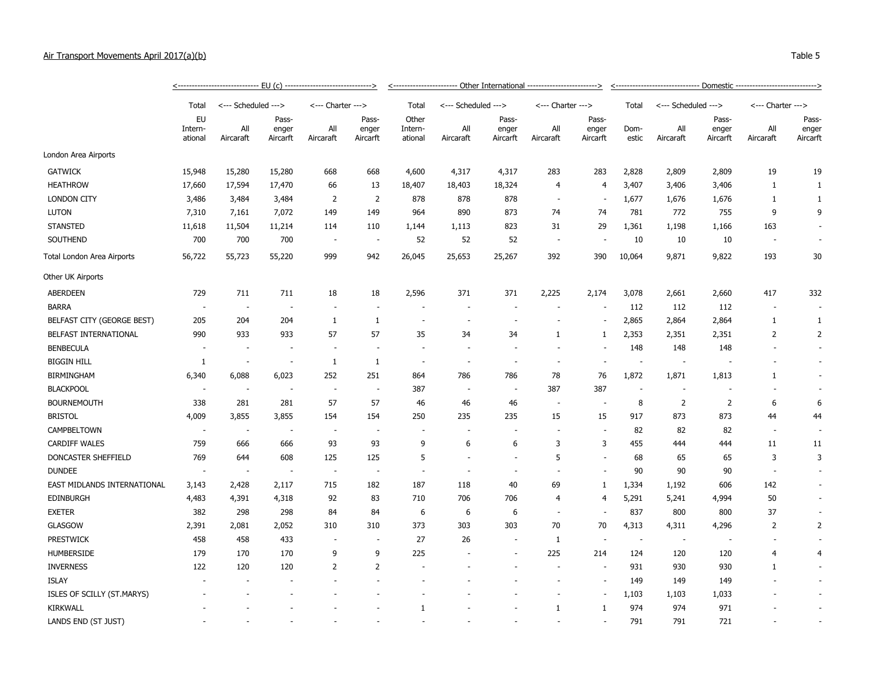| Air Transport Movements April 2017(a)(b) |                          |                     |                            |                                             |                            |                             |                     |                            |                                                  |                            |               |                     |                            |                                            | Table 5                    |
|------------------------------------------|--------------------------|---------------------|----------------------------|---------------------------------------------|----------------------------|-----------------------------|---------------------|----------------------------|--------------------------------------------------|----------------------------|---------------|---------------------|----------------------------|--------------------------------------------|----------------------------|
|                                          |                          |                     |                            | -- EU (c) --------------------------------> |                            | ______________________      |                     |                            | - Other International -------------------------> |                            |               |                     |                            | -- Domestic -----------------------------> |                            |
|                                          | Total                    | <--- Scheduled ---> |                            | <--- Charter --->                           |                            | Total                       | <--- Scheduled ---> |                            | <--- Charter --->                                |                            | Total         | <--- Scheduled ---> |                            | <--- Charter --->                          |                            |
|                                          | EU<br>Intern-<br>ational | All<br>Aircaraft    | Pass-<br>enger<br>Aircarft | All<br>Aircaraft                            | Pass-<br>enger<br>Aircarft | Other<br>Intern-<br>ational | All<br>Aircaraft    | Pass-<br>enger<br>Aircarft | All<br>Aircaraft                                 | Pass-<br>enger<br>Aircarft | Dom-<br>estic | All<br>Aircaraft    | Pass-<br>enger<br>Aircarft | All<br>Aircaraft                           | Pass-<br>enger<br>Aircarft |
| London Area Airports                     |                          |                     |                            |                                             |                            |                             |                     |                            |                                                  |                            |               |                     |                            |                                            |                            |
| <b>GATWICK</b>                           | 15,948                   | 15,280              | 15,280                     | 668                                         | 668                        | 4,600                       | 4,317               | 4,317                      | 283                                              | 283                        | 2,828         | 2,809               | 2,809                      | 19                                         | 19                         |
| <b>HEATHROW</b>                          | 17,660                   | 17,594              | 17,470                     | 66                                          | 13                         | 18,407                      | 18,403              | 18,324                     | 4                                                | 4                          | 3,407         | 3,406               | 3,406                      |                                            |                            |
| <b>LONDON CITY</b>                       | 3,486                    | 3,484               | 3,484                      | C.                                          |                            | 878                         | 878                 | 878                        |                                                  | $\sim$                     | 1,677         | 1,676               | 1,676                      |                                            |                            |

| London Area Airports        |                          |                          |                          |                          |                          |                          |                          |                          |                |                          |                          |                          |                |     |                          |
|-----------------------------|--------------------------|--------------------------|--------------------------|--------------------------|--------------------------|--------------------------|--------------------------|--------------------------|----------------|--------------------------|--------------------------|--------------------------|----------------|-----|--------------------------|
| <b>GATWICK</b>              | 15,948                   | 15,280                   | 15,280                   | 668                      | 668                      | 4,600                    | 4,317                    | 4,317                    | 283            | 283                      | 2,828                    | 2,809                    | 2,809          | 19  | 19                       |
| <b>HEATHROW</b>             | 17,660                   | 17,594                   | 17,470                   | 66                       | 13                       | 18,407                   | 18,403                   | 18,324                   | $\overline{4}$ | 4                        | 3,407                    | 3,406                    | 3,406          | 1   | 1                        |
| <b>LONDON CITY</b>          | 3,486                    | 3,484                    | 3,484                    | $\overline{2}$           | $\overline{2}$           | 878                      | 878                      | 878                      | $\sim$         | $\overline{\phantom{a}}$ | 1,677                    | 1,676                    | 1,676          | 1   | $\mathbf{1}$             |
| <b>LUTON</b>                | 7,310                    | 7,161                    | 7,072                    | 149                      | 149                      | 964                      | 890                      | 873                      | 74             | 74                       | 781                      | 772                      | 755            | 9   | 9                        |
| <b>STANSTED</b>             | 11,618                   | 11,504                   | 11,214                   | 114                      | 110                      | 1,144                    | 1,113                    | 823                      | 31             | 29                       | 1,361                    | 1,198                    | 1,166          | 163 |                          |
| SOUTHEND                    | 700                      | 700                      | 700                      | . —                      | $\overline{\phantom{a}}$ | 52                       | 52                       | 52                       |                |                          | 10                       | 10                       | 10             |     | $\overline{\phantom{a}}$ |
| Total London Area Airports  | 56,722                   | 55,723                   | 55,220                   | 999                      | 942                      | 26,045                   | 25,653                   | 25,267                   | 392            | 390                      | 10,064                   | 9,871                    | 9,822          | 193 | 30                       |
| Other UK Airports           |                          |                          |                          |                          |                          |                          |                          |                          |                |                          |                          |                          |                |     |                          |
| <b>ABERDEEN</b>             | 729                      | 711                      | 711                      | 18                       | 18                       | 2,596                    | 371                      | 371                      | 2,225          | 2,174                    | 3,078                    | 2,661                    | 2,660          | 417 | 332                      |
| <b>BARRA</b>                | $\overline{\phantom{a}}$ | $\overline{\phantom{a}}$ | $\overline{\phantom{a}}$ |                          |                          |                          | $\sim$                   | $\overline{\phantom{a}}$ |                | $\overline{\phantom{a}}$ | 112                      | 112                      | 112            |     |                          |
| BELFAST CITY (GEORGE BEST)  | 205                      | 204                      | 204                      | 1                        | 1                        | $\overline{\phantom{a}}$ | $\overline{\phantom{a}}$ |                          |                | $\overline{\phantom{a}}$ | 2,865                    | 2,864                    | 2,864          | 1   | 1                        |
| BELFAST INTERNATIONAL       | 990                      | 933                      | 933                      | 57                       | 57                       | 35                       | 34                       | 34                       | 1              | 1                        | 2,353                    | 2,351                    | 2,351          | 2   | 2                        |
| <b>BENBECULA</b>            |                          |                          |                          |                          |                          |                          |                          |                          |                |                          | 148                      | 148                      | 148            |     | $\sim$                   |
| <b>BIGGIN HILL</b>          | 1                        |                          | $\overline{\phantom{a}}$ | $\mathbf{1}$             | 1                        | $\overline{\phantom{a}}$ | $\overline{\phantom{a}}$ | $\sim$                   | $\sim$         |                          | $\sim$                   | ÷,                       |                |     | $\sim$                   |
| BIRMINGHAM                  | 6,340                    | 6,088                    | 6,023                    | 252                      | 251                      | 864                      | 786                      | 786                      | 78             | 76                       | 1,872                    | 1,871                    | 1,813          | 1   | $\overline{\phantom{a}}$ |
| <b>BLACKPOOL</b>            | $\overline{\phantom{a}}$ | $\overline{\phantom{a}}$ |                          | $\overline{\phantom{a}}$ | $\overline{\phantom{a}}$ | 387                      | $\sim$                   | $\overline{\phantom{a}}$ | 387            | 387                      | $\sim$                   |                          |                |     |                          |
| <b>BOURNEMOUTH</b>          | 338                      | 281                      | 281                      | 57                       | 57                       | 46                       | 46                       | 46                       | $\sim$         | $\overline{\phantom{a}}$ | 8                        | 2                        | $\overline{2}$ | 6   | 6                        |
| <b>BRISTOL</b>              | 4,009                    | 3,855                    | 3,855                    | 154                      | 154                      | 250                      | 235                      | 235                      | 15             | 15                       | 917                      | 873                      | 873            | 44  | 44                       |
| CAMPBELTOWN                 |                          |                          | и,                       |                          |                          |                          |                          |                          |                |                          | 82                       | 82                       | 82             |     | $\overline{\phantom{a}}$ |
| <b>CARDIFF WALES</b>        | 759                      | 666                      | 666                      | 93                       | 93                       | 9                        | 6                        | 6                        | 3              | 3                        | 455                      | 444                      | 444            | 11  | 11                       |
| DONCASTER SHEFFIELD         | 769                      | 644                      | 608                      | 125                      | 125                      | 5                        |                          |                          | 5              | $\blacksquare$           | 68                       | 65                       | 65             | 3   | 3                        |
| <b>DUNDEE</b>               | $\overline{\phantom{a}}$ |                          | $\overline{\phantom{a}}$ | $\overline{\phantom{a}}$ |                          |                          |                          |                          |                | $\overline{a}$           | 90                       | 90                       | 90             |     | $\sim$                   |
| EAST MIDLANDS INTERNATIONAL | 3,143                    | 2,428                    | 2,117                    | 715                      | 182                      | 187                      | 118                      | 40                       | 69             | 1                        | 1,334                    | 1,192                    | 606            | 142 |                          |
| <b>EDINBURGH</b>            | 4,483                    | 4,391                    | 4,318                    | 92                       | 83                       | 710                      | 706                      | 706                      | $\overline{4}$ | 4                        | 5,291                    | 5,241                    | 4,994          | 50  | $\sim$                   |
| <b>EXETER</b>               | 382                      | 298                      | 298                      | 84                       | 84                       | 6                        | 6                        | 6                        | ÷              | $\overline{\phantom{a}}$ | 837                      | 800                      | 800            | 37  | $\sim$                   |
| GLASGOW                     | 2,391                    | 2,081                    | 2,052                    | 310                      | 310                      | 373                      | 303                      | 303                      | 70             | 70                       | 4,313                    | 4,311                    | 4,296          | 2   | $\overline{2}$           |
| <b>PRESTWICK</b>            | 458                      | 458                      | 433                      |                          |                          | 27                       | 26                       | $\overline{a}$           | 1              | $\overline{\phantom{a}}$ | $\overline{\phantom{a}}$ | $\overline{\phantom{a}}$ |                |     | $\sim$                   |
| <b>HUMBERSIDE</b>           | 179                      | 170                      | 170                      | 9                        | 9                        | 225                      |                          | $\sim$                   | 225            | 214                      | 124                      | 120                      | 120            | 4   | 4                        |
| <b>INVERNESS</b>            | 122                      | 120                      | 120                      | 2                        | 2                        |                          |                          |                          |                | $\overline{\phantom{a}}$ | 931                      | 930                      | 930            | 1   | $\sim$                   |
| <b>ISLAY</b>                |                          |                          |                          |                          |                          |                          |                          |                          |                | $\overline{\phantom{a}}$ | 149                      | 149                      | 149            |     | $\overline{\phantom{a}}$ |
| ISLES OF SCILLY (ST.MARYS)  |                          |                          |                          |                          |                          |                          |                          |                          |                | $\sim$                   | 1,103                    | 1,103                    | 1,033          |     | ÷                        |
| KIRKWALL                    |                          |                          |                          |                          |                          | $\mathbf{1}$             |                          |                          | $\mathbf{1}$   | 1                        | 974                      | 974                      | 971            |     | ÷,                       |
| LANDS END (ST JUST)         |                          |                          |                          |                          |                          |                          |                          |                          |                |                          | 791                      | 791                      | 721            |     |                          |